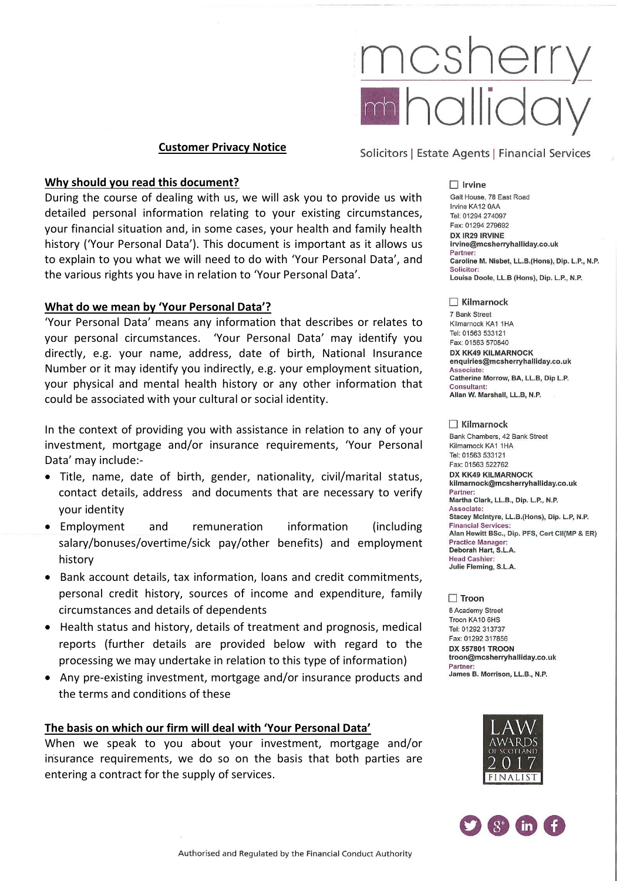

#### **Customer Privacy Notice**

### **Why should you read this document?**

During the course of dealing with us, we will ask you to provide us with detailed personal information relating to your existing circumstances, your financial situation and, in some cases, your health and family health history ('Your Personal Data'). This document is important as it allows us to explain to you what we will need to do with 'Your Personal Data', and the various rights you have in relation to 'Your Personal Data'.

#### **What do we mean by 'Your Personal Data'?**

'Your Personal Data' means any information that describes or relates to your personal circumstances. 'Your Personal Data' may identify you directly, e.g. your name, address, date of birth, National Insurance Number or it may identify you indirectly, e.g. your employment situation, your physical and mental health history or any other information that could be associated with your cultural or social identity.

In the context of providing you with assistance in relation to any of your investment, mortgage and/or insurance requirements, 'Your Personal Data' may include:-

- Title, name, date of birth, gender, nationality, civil/marital status, contact details, address and documents that are necessary to verify your identity
- Employment and remuneration information (including salary/bonuses/overtime/sick pay/other benefits) and employment history
- Bank account details, tax information, loans and credit commitments, personal credit history, sources of income and expenditure, family circumstances and details of dependents
- Health status and history, details of treatment and prognosis, medical reports (further details are provided below with regard to the processing we may undertake in relation to this type of information)
- Any pre-existing investment, mortgage and/or insurance products and the terms and conditions of these

### **The basis on which our firm will deal with 'Your Personal Data'**

When we speak to you about your investment, mortgage and/or insurance requirements, we do so on the basis that both parties are entering a contract for the supply of services.

Solicitors | Estate Agents | Financial Services

#### $\Box$  Irvine

Galt House, 78 East Road Irvine KA12 0AA Tel: 01294 274097 Fax: 01294 279692 DX IR29 IRVINE irvine@mcsherryhalliday.co.uk Partner: Caroline M. Nisbet, LL.B.(Hons), Dip. L.P., N.P. **Solicitor** Louisa Doole, LL.B (Hons), Dip. L.P., N.P.

#### $\Box$  Kilmarnock

7 Bank Street Kilmarnock KA1 1HA Tel: 01563 533121 Fax: 01563 570840 DX KK49 KILMARNOCK enquiries@mcsherryhalliday.co.uk Associate: Catherine Morrow, BA, LL.B, Dip L.P. Consultant: Allan W. Marshall, LL.B, N.P.

#### $\Box$  Kilmarnock

Bank Chambers, 42 Bank Street Kilmarnock KA1 1HA Tel: 01563 533121 Fax: 01563 522762 **DX KK49 KILMARNOCK** kilmarnock@mcsherryhalliday.co.uk Partner: Martha Clark, LL.B., Dip. L.P., N.P. Associate: Stacey McIntyre, LL.B.(Hons), Dip. L.P, N.P. **Financial Services** Alan Hewitt BSc., Dip. PFS, Cert CII(MP & ER) **Practice Manager:** Deborah Hart, S.L.A. **Head Cashier:** Julie Fleming, S.L.A.

#### $\Box$  Troon

8 Academy Street Troon KA10 6HS Tel: 01292 313737 Fax: 01292 317856 **DX 557801 TROON** troon@mcsherryhalliday.co.uk Partner James B. Morrison, LL.B., N.P.



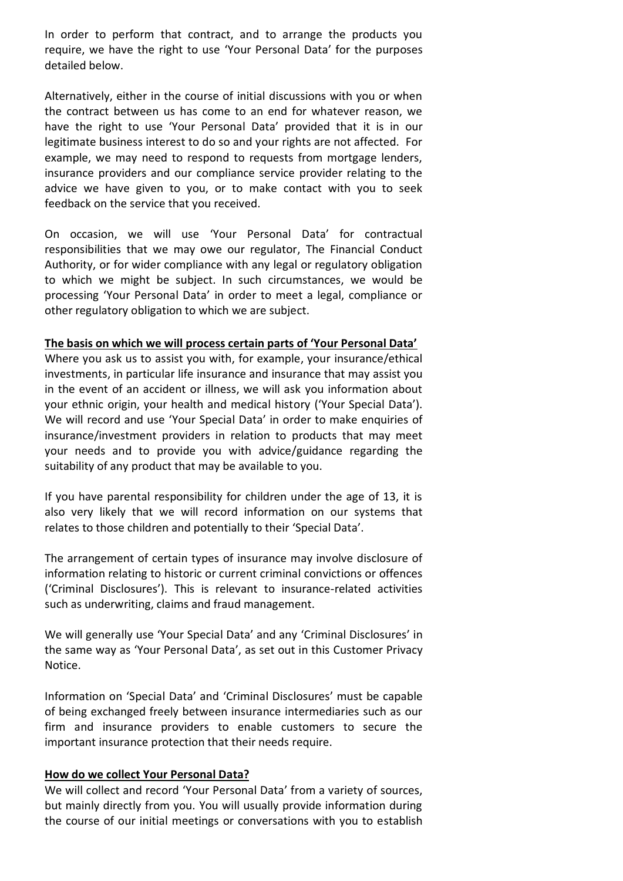In order to perform that contract, and to arrange the products you require, we have the right to use 'Your Personal Data' for the purposes detailed below.

Alternatively, either in the course of initial discussions with you or when the contract between us has come to an end for whatever reason, we have the right to use 'Your Personal Data' provided that it is in our legitimate business interest to do so and your rights are not affected. For example, we may need to respond to requests from mortgage lenders, insurance providers and our compliance service provider relating to the advice we have given to you, or to make contact with you to seek feedback on the service that you received.

On occasion, we will use 'Your Personal Data' for contractual responsibilities that we may owe our regulator, The Financial Conduct Authority, or for wider compliance with any legal or regulatory obligation to which we might be subject. In such circumstances, we would be processing 'Your Personal Data' in order to meet a legal, compliance or other regulatory obligation to which we are subject.

## **The basis on which we will process certain parts of 'Your Personal Data'**

Where you ask us to assist you with, for example, your insurance/ethical investments, in particular life insurance and insurance that may assist you in the event of an accident or illness, we will ask you information about your ethnic origin, your health and medical history ('Your Special Data'). We will record and use 'Your Special Data' in order to make enquiries of insurance/investment providers in relation to products that may meet your needs and to provide you with advice/guidance regarding the suitability of any product that may be available to you.

If you have parental responsibility for children under the age of 13, it is also very likely that we will record information on our systems that relates to those children and potentially to their 'Special Data'.

The arrangement of certain types of insurance may involve disclosure of information relating to historic or current criminal convictions or offences ('Criminal Disclosures'). This is relevant to insurance-related activities such as underwriting, claims and fraud management.

We will generally use 'Your Special Data' and any 'Criminal Disclosures' in the same way as 'Your Personal Data', as set out in this Customer Privacy Notice.

Information on 'Special Data' and 'Criminal Disclosures' must be capable of being exchanged freely between insurance intermediaries such as our firm and insurance providers to enable customers to secure the important insurance protection that their needs require.

# **How do we collect Your Personal Data?**

We will collect and record 'Your Personal Data' from a variety of sources, but mainly directly from you. You will usually provide information during the course of our initial meetings or conversations with you to establish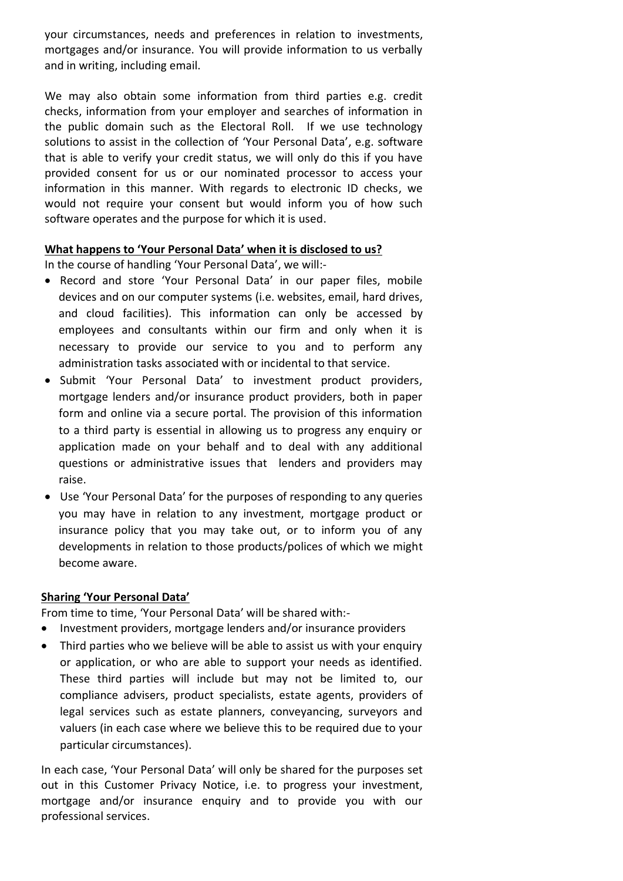your circumstances, needs and preferences in relation to investments, mortgages and/or insurance. You will provide information to us verbally and in writing, including email.

We may also obtain some information from third parties e.g. credit checks, information from your employer and searches of information in the public domain such as the Electoral Roll. If we use technology solutions to assist in the collection of 'Your Personal Data', e.g. software that is able to verify your credit status, we will only do this if you have provided consent for us or our nominated processor to access your information in this manner. With regards to electronic ID checks, we would not require your consent but would inform you of how such software operates and the purpose for which it is used.

# **What happens to 'Your Personal Data' when it is disclosed to us?**

In the course of handling 'Your Personal Data', we will:-

- Record and store 'Your Personal Data' in our paper files, mobile devices and on our computer systems (i.e. websites, email, hard drives, and cloud facilities). This information can only be accessed by employees and consultants within our firm and only when it is necessary to provide our service to you and to perform any administration tasks associated with or incidental to that service.
- Submit 'Your Personal Data' to investment product providers, mortgage lenders and/or insurance product providers, both in paper form and online via a secure portal. The provision of this information to a third party is essential in allowing us to progress any enquiry or application made on your behalf and to deal with any additional questions or administrative issues that lenders and providers may raise.
- Use 'Your Personal Data' for the purposes of responding to any queries you may have in relation to any investment, mortgage product or insurance policy that you may take out, or to inform you of any developments in relation to those products/polices of which we might become aware.

# **Sharing 'Your Personal Data'**

From time to time, 'Your Personal Data' will be shared with:-

- Investment providers, mortgage lenders and/or insurance providers
- Third parties who we believe will be able to assist us with your enquiry or application, or who are able to support your needs as identified. These third parties will include but may not be limited to, our compliance advisers, product specialists, estate agents, providers of legal services such as estate planners, conveyancing, surveyors and valuers (in each case where we believe this to be required due to your particular circumstances).

In each case, 'Your Personal Data' will only be shared for the purposes set out in this Customer Privacy Notice, i.e. to progress your investment, mortgage and/or insurance enquiry and to provide you with our professional services.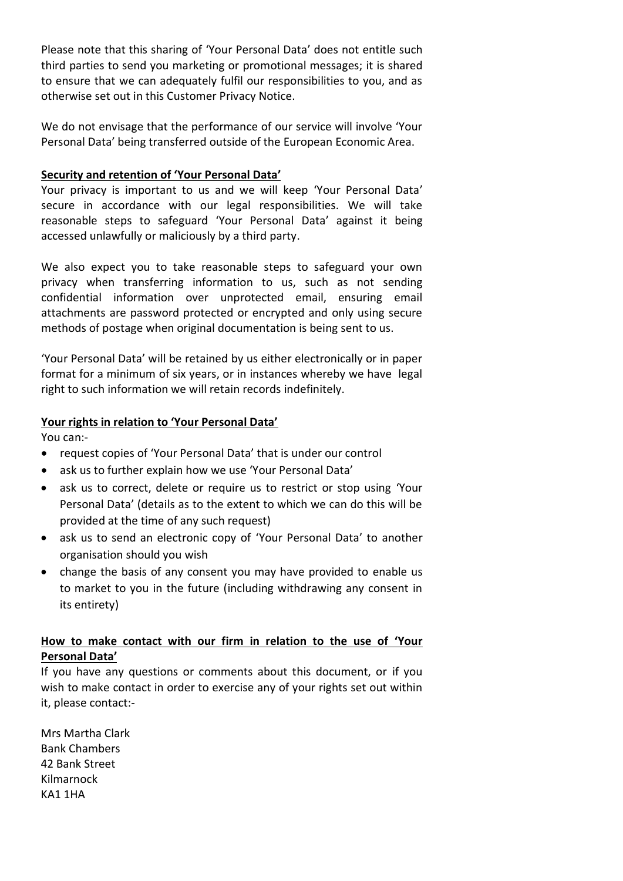Please note that this sharing of 'Your Personal Data' does not entitle such third parties to send you marketing or promotional messages; it is shared to ensure that we can adequately fulfil our responsibilities to you, and as otherwise set out in this Customer Privacy Notice.

We do not envisage that the performance of our service will involve 'Your Personal Data' being transferred outside of the European Economic Area.

## **Security and retention of 'Your Personal Data'**

Your privacy is important to us and we will keep 'Your Personal Data' secure in accordance with our legal responsibilities. We will take reasonable steps to safeguard 'Your Personal Data' against it being accessed unlawfully or maliciously by a third party.

We also expect you to take reasonable steps to safeguard your own privacy when transferring information to us, such as not sending confidential information over unprotected email, ensuring email attachments are password protected or encrypted and only using secure methods of postage when original documentation is being sent to us.

'Your Personal Data' will be retained by us either electronically or in paper format for a minimum of six years, or in instances whereby we have legal right to such information we will retain records indefinitely.

## **Your rights in relation to 'Your Personal Data'**

You can:-

- request copies of 'Your Personal Data' that is under our control
- ask us to further explain how we use 'Your Personal Data'
- ask us to correct, delete or require us to restrict or stop using 'Your Personal Data' (details as to the extent to which we can do this will be provided at the time of any such request)
- ask us to send an electronic copy of 'Your Personal Data' to another organisation should you wish
- change the basis of any consent you may have provided to enable us to market to you in the future (including withdrawing any consent in its entirety)

# **How to make contact with our firm in relation to the use of 'Your Personal Data'**

If you have any questions or comments about this document, or if you wish to make contact in order to exercise any of your rights set out within it, please contact:-

Mrs Martha Clark Bank Chambers 42 Bank Street Kilmarnock KA1 1HA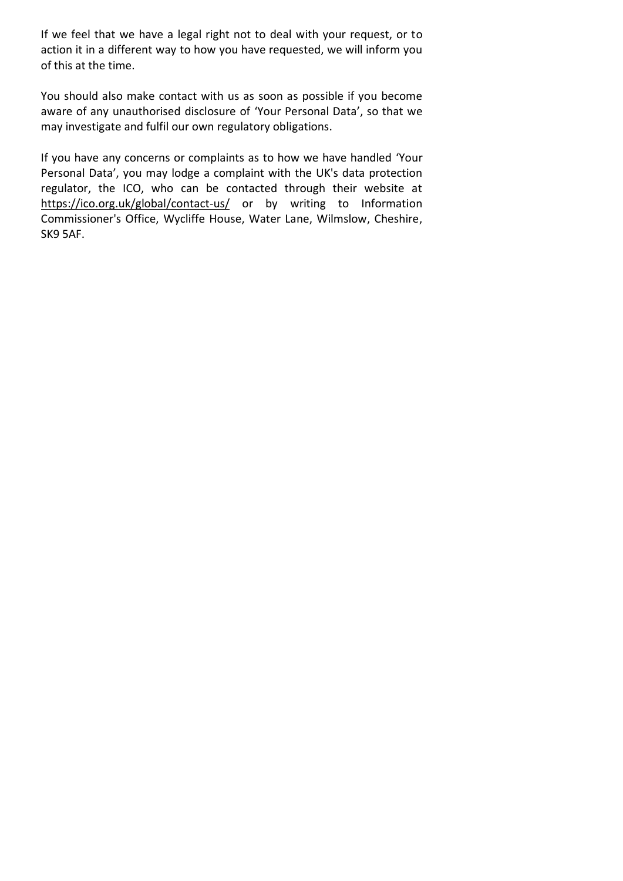If we feel that we have a legal right not to deal with your request, or to action it in a different way to how you have requested, we will inform you of this at the time.

You should also make contact with us as soon as possible if you become aware of any unauthorised disclosure of 'Your Personal Data', so that we may investigate and fulfil our own regulatory obligations.

If you have any concerns or complaints as to how we have handled 'Your Personal Data', you may lodge a complaint with the UK's data protection regulator, the ICO, who can be contacted through their website at <https://ico.org.uk/global/contact-us/> or by writing to Information Commissioner's Office, Wycliffe House, Water Lane, Wilmslow, Cheshire, SK9 5AF.